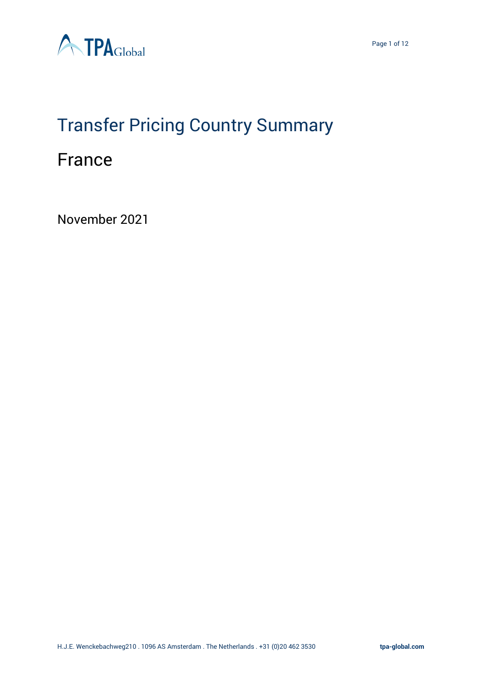

# Transfer Pricing Country Summary

# France

November 2021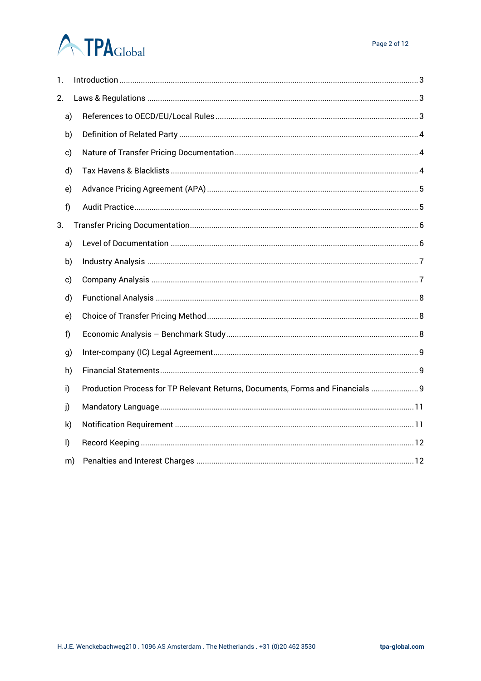# **ATPA**Global

| 1.           |                                                                                |
|--------------|--------------------------------------------------------------------------------|
| 2.           |                                                                                |
| a)           |                                                                                |
| b)           |                                                                                |
| c)           |                                                                                |
| d)           |                                                                                |
| e)           |                                                                                |
| f)           |                                                                                |
| 3.           |                                                                                |
| a)           |                                                                                |
| b)           |                                                                                |
| c)           |                                                                                |
| d)           |                                                                                |
| e)           |                                                                                |
| f            |                                                                                |
| g)           |                                                                                |
| h)           |                                                                                |
| i)           | Production Process for TP Relevant Returns, Documents, Forms and Financials  9 |
| j)           |                                                                                |
| k)           |                                                                                |
| $\mathsf{I}$ |                                                                                |
| m)           |                                                                                |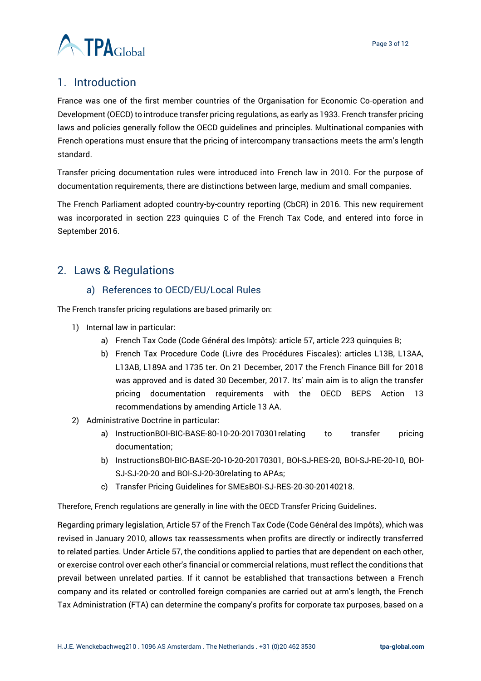

### <span id="page-2-0"></span>1. Introduction

France was one of the first member countries of the Organisation for Economic Co-operation and Development (OECD) to introduce transfer pricing regulations, as early as 1933. French transfer pricing laws and policies generally follow the OECD guidelines and principles. Multinational companies with French operations must ensure that the pricing of intercompany transactions meets the arm's length standard.

Transfer pricing documentation rules were introduced into French law in 2010. For the purpose of documentation requirements, there are distinctions between large, medium and small companies.

The French Parliament adopted country-by-country reporting (CbCR) in 2016. This new requirement was incorporated in section 223 quinquies C of the French Tax Code, and entered into force in September 2016.

### <span id="page-2-2"></span><span id="page-2-1"></span>2. Laws & Regulations

#### a) References to OECD/EU/Local Rules

The French transfer pricing regulations are based primarily on:

- 1) Internal law in particular:
	- a) French Tax Code (Code Général des Impôts): article 57, article 223 quinquies B;
	- b) French Tax Procedure Code (Livre des Procédures Fiscales): articles L13B, L13AA, L13AB, L189A and 1735 ter. On 21 December, 2017 the French Finance Bill for 2018 was approved and is dated 30 December, 2017. Its' main aim is to align the transfer pricing documentation requirements with the OECD BEPS Action 13 recommendations by amending Article 13 AA.
- 2) Administrative Doctrine in particular:
	- a) InstructionBOI-BIC-BASE-80-10-20-20170301relating to transfer pricing documentation;
	- b) InstructionsBOI-BIC-BASE-20-10-20-20170301, BOI-SJ-RES-20, BOI-SJ-RE-20-10, BOI-SJ-SJ-20-20 and BOI-SJ-20-30relating to APAs;
	- c) Transfer Pricing Guidelines for SMEsBOI-SJ-RES-20-30-20140218.

Therefore, French regulations are generally in line with the OECD Transfer Pricing Guidelines.

Regarding primary legislation, Article 57 of the French Tax Code (Code Général des Impôts), which was revised in January 2010, allows tax reassessments when profits are directly or indirectly transferred to related parties. Under Article 57, the conditions applied to parties that are dependent on each other, or exercise control over each other's financial or commercial relations, must reflect the conditions that prevail between unrelated parties. If it cannot be established that transactions between a French company and its related or controlled foreign companies are carried out at arm's length, the French Tax Administration (FTA) can determine the company's profits for corporate tax purposes, based on a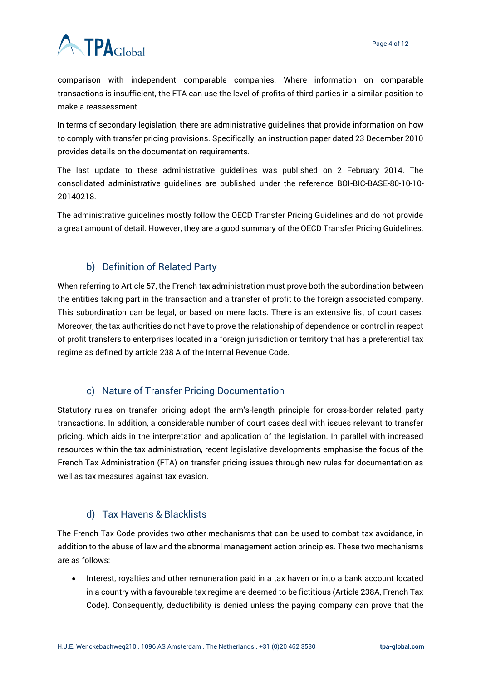# **ATPA**Global

comparison with independent comparable companies. Where information on comparable transactions is insufficient, the FTA can use the level of profits of third parties in a similar position to make a reassessment.

In terms of secondary legislation, there are administrative guidelines that provide information on how to comply with transfer pricing provisions. Specifically, an instruction paper dated 23 December 2010 provides details on the documentation requirements.

The last update to these administrative guidelines was published on 2 February 2014. The consolidated administrative guidelines are published under the reference BOI-BIC-BASE-80-10-10- 20140218.

The administrative guidelines mostly follow the OECD Transfer Pricing Guidelines and do not provide a great amount of detail. However, they are a good summary of the OECD Transfer Pricing Guidelines.

# b) Definition of Related Party

<span id="page-3-0"></span>When referring to Article 57, the French tax administration must prove both the subordination between the entities taking part in the transaction and a transfer of profit to the foreign associated company. This subordination can be legal, or based on mere facts. There is an extensive list of court cases. Moreover, the tax authorities do not have to prove the relationship of dependence or control in respect of profit transfers to enterprises located in a foreign jurisdiction or territory that has a preferential tax regime as defined by article 238 A of the Internal Revenue Code.

#### c) Nature of Transfer Pricing Documentation

<span id="page-3-1"></span>Statutory rules on transfer pricing adopt the arm's-length principle for cross-border related party transactions. In addition, a considerable number of court cases deal with issues relevant to transfer pricing, which aids in the interpretation and application of the legislation. In parallel with increased resources within the tax administration, recent legislative developments emphasise the focus of the French Tax Administration (FTA) on transfer pricing issues through new rules for documentation as well as tax measures against tax evasion.

#### d) Tax Havens & Blacklists

<span id="page-3-2"></span>The French Tax Code provides two other mechanisms that can be used to combat tax avoidance, in addition to the abuse of law and the abnormal management action principles. These two mechanisms are as follows:

• Interest, royalties and other remuneration paid in a tax haven or into a bank account located in a country with a favourable tax regime are deemed to be fictitious (Article 238A, French Tax Code). Consequently, deductibility is denied unless the paying company can prove that the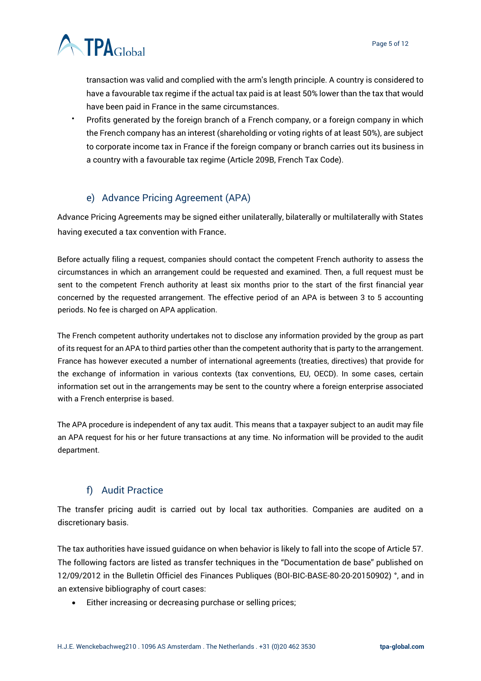

transaction was valid and complied with the arm's length principle. A country is considered to have a favourable tax regime if the actual tax paid is at least 50% lower than the tax that would have been paid in France in the same circumstances.

• Profits generated by the foreign branch of a French company, or a foreign company in which the French company has an interest (shareholding or voting rights of at least 50%), are subject to corporate income tax in France if the foreign company or branch carries out its business in a country with a favourable tax regime (Article 209B, French Tax Code).

#### e) Advance Pricing Agreement (APA)

<span id="page-4-0"></span>Advance Pricing Agreements may be signed either unilaterally, bilaterally or multilaterally with States having executed a tax convention with France.

Before actually filing a request, companies should contact the competent French authority to assess the circumstances in which an arrangement could be requested and examined. Then, a full request must be sent to the competent French authority at least six months prior to the start of the first financial year concerned by the requested arrangement. The effective period of an APA is between 3 to 5 accounting periods. No fee is charged on APA application.

The French competent authority undertakes not to disclose any information provided by the group as part of its request for an APA to third parties other than the competent authority that is party to the arrangement. France has however executed a number of international agreements (treaties, directives) that provide for the exchange of information in various contexts (tax conventions, EU, OECD). In some cases, certain information set out in the arrangements may be sent to the country where a foreign enterprise associated with a French enterprise is based.

The APA procedure is independent of any tax audit. This means that a taxpayer subject to an audit may file an APA request for his or her future transactions at any time. No information will be provided to the audit department.

#### f) Audit Practice

<span id="page-4-1"></span>The transfer pricing audit is carried out by local tax authorities. Companies are audited on a discretionary basis.

The tax authorities have issued guidance on when behavior is likely to fall into the scope of Article 57. The following factors are listed as transfer techniques in the "Documentation de base" published on 12/09/2012 in the Bulletin Officiel des Finances Publiques (BOI-BIC-BASE-80-20-20150902) °, and in an extensive bibliography of court cases:

• Either increasing or decreasing purchase or selling prices;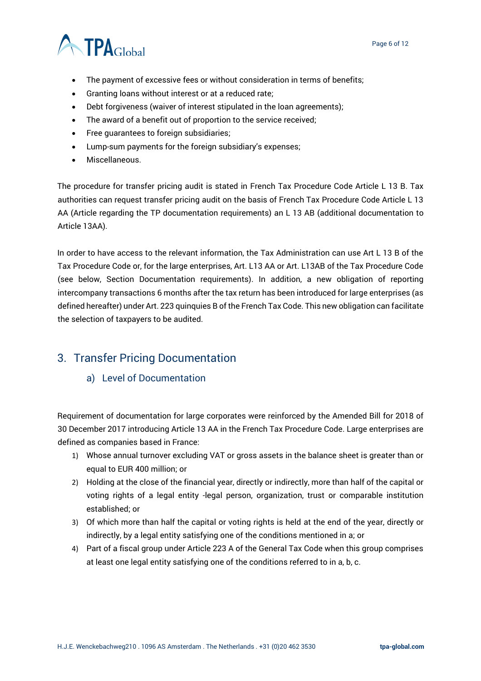

- The payment of excessive fees or without consideration in terms of benefits;
- Granting loans without interest or at a reduced rate;
- Debt forgiveness (waiver of interest stipulated in the loan agreements);
- The award of a benefit out of proportion to the service received;
- Free guarantees to foreign subsidiaries;
- Lump-sum payments for the foreign subsidiary's expenses;
- Miscellaneous.

The procedure for transfer pricing audit is stated in French Tax Procedure Code Article L 13 B. Tax authorities can request transfer pricing audit on the basis of French Tax Procedure Code Article L 13 AA (Article regarding the TP documentation requirements) an L 13 AB (additional documentation to Article 13AA).

In order to have access to the relevant information, the Tax Administration can use Art L 13 B of the Tax Procedure Code or, for the large enterprises, Art. L13 AA or Art. L13AB of the Tax Procedure Code (see below, Section Documentation requirements). In addition, a new obligation of reporting intercompany transactions 6 months after the tax return has been introduced for large enterprises (as defined hereafter) under Art. 223 quinquies B of the French Tax Code. This new obligation can facilitate the selection of taxpayers to be audited.

# <span id="page-5-1"></span><span id="page-5-0"></span>3. Transfer Pricing Documentation

#### a) Level of Documentation

Requirement of documentation for large corporates were reinforced by the Amended Bill for 2018 of 30 December 2017 introducing Article 13 AA in the French Tax Procedure Code. Large enterprises are defined as companies based in France:

- 1) Whose annual turnover excluding VAT or gross assets in the balance sheet is greater than or equal to EUR 400 million; or
- 2) Holding at the close of the financial year, directly or indirectly, more than half of the capital or voting rights of a legal entity -legal person, organization, trust or comparable institution established; or
- 3) Of which more than half the capital or voting rights is held at the end of the year, directly or indirectly, by a legal entity satisfying one of the conditions mentioned in a; or
- 4) Part of a fiscal group under Article 223 A of the General Tax Code when this group comprises at least one legal entity satisfying one of the conditions referred to in a, b, c.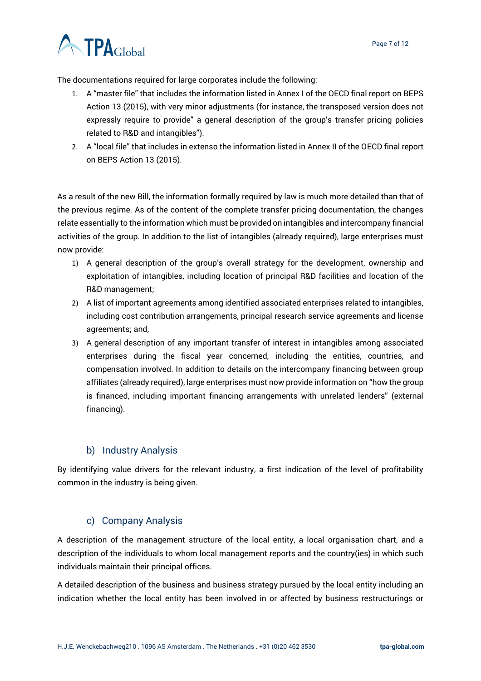

The documentations required for large corporates include the following:

- 1. A "master file" that includes the information listed in Annex I of the OECD final report on BEPS Action 13 (2015), with very minor adjustments (for instance, the transposed version does not expressly require to provide" a general description of the group's transfer pricing policies related to R&D and intangibles").
- 2. A "local file" that includes in extenso the information listed in Annex II of the OECD final report on BEPS Action 13 (2015).

As a result of the new Bill, the information formally required by law is much more detailed than that of the previous regime. As of the content of the complete transfer pricing documentation, the changes relate essentially to the information which must be provided on intangibles and intercompany financial activities of the group. In addition to the list of intangibles (already required), large enterprises must now provide:

- 1) A general description of the group's overall strategy for the development, ownership and exploitation of intangibles, including location of principal R&D facilities and location of the R&D management;
- 2) A list of important agreements among identified associated enterprises related to intangibles, including cost contribution arrangements, principal research service agreements and license agreements; and,
- 3) A general description of any important transfer of interest in intangibles among associated enterprises during the fiscal year concerned, including the entities, countries, and compensation involved. In addition to details on the intercompany financing between group affiliates (already required), large enterprises must now provide information on "how the group is financed, including important financing arrangements with unrelated lenders" (external financing).

#### b) Industry Analysis

<span id="page-6-0"></span>By identifying value drivers for the relevant industry, a first indication of the level of profitability common in the industry is being given.

#### c) Company Analysis

<span id="page-6-1"></span>A description of the management structure of the local entity, a local organisation chart, and a description of the individuals to whom local management reports and the country(ies) in which such individuals maintain their principal offices.

A detailed description of the business and business strategy pursued by the local entity including an indication whether the local entity has been involved in or affected by business restructurings or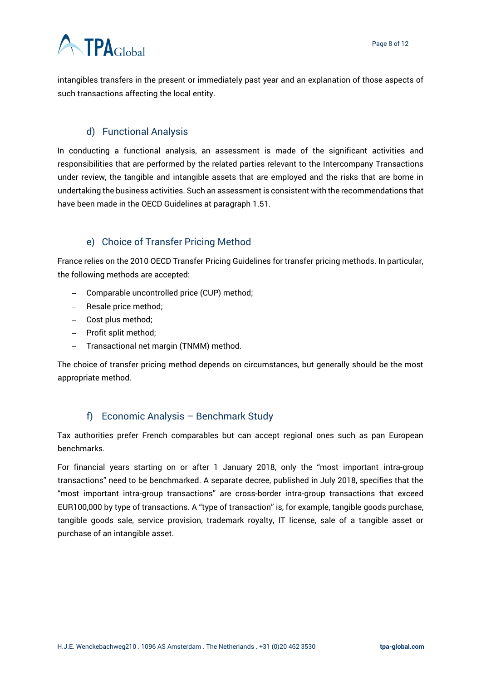# **ATPA**Global

intangibles transfers in the present or immediately past year and an explanation of those aspects of such transactions affecting the local entity.

# d) Functional Analysis

<span id="page-7-0"></span>In conducting a functional analysis, an assessment is made of the significant activities and responsibilities that are performed by the related parties relevant to the Intercompany Transactions under review, the tangible and intangible assets that are employed and the risks that are borne in undertaking the business activities. Such an assessment is consistent with the recommendations that have been made in the OECD Guidelines at paragraph 1.51.

# e) Choice of Transfer Pricing Method

<span id="page-7-1"></span>France relies on the 2010 OECD Transfer Pricing Guidelines for transfer pricing methods. In particular, the following methods are accepted:

- − Comparable uncontrolled price (CUP) method;
- − Resale price method;
- − Cost plus method;
- − Profit split method;
- − Transactional net margin (TNMM) method.

The choice of transfer pricing method depends on circumstances, but generally should be the most appropriate method.

# f) Economic Analysis – Benchmark Study

<span id="page-7-2"></span>Tax authorities prefer French comparables but can accept regional ones such as pan European benchmarks.

For financial years starting on or after 1 January 2018, only the "most important intra-group transactions" need to be benchmarked. A separate decree, published in July 2018, specifies that the "most important intra-group transactions" are cross-border intra-group transactions that exceed EUR100,000 by type of transactions. A "type of transaction" is, for example, tangible goods purchase, tangible goods sale, service provision, trademark royalty, IT license, sale of a tangible asset or purchase of an intangible asset.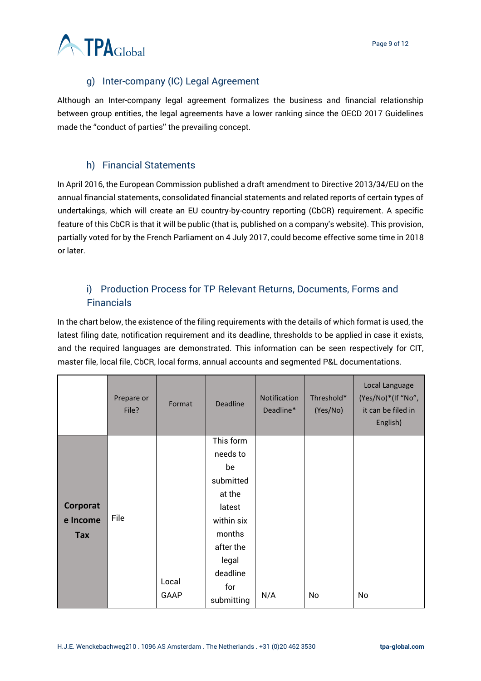

# g) Inter-company (IC) Legal Agreement

<span id="page-8-0"></span>Although an Inter-company legal agreement formalizes the business and financial relationship between group entities, the legal agreements have a lower ranking since the OECD 2017 Guidelines made the ''conduct of parties'' the prevailing concept.

#### h) Financial Statements

<span id="page-8-1"></span>In April 2016, the European Commission published a draft amendment to Directive 2013/34/EU on the annual financial statements, consolidated financial statements and related reports of certain types of undertakings, which will create an EU country-by-country reporting (CbCR) requirement. A specific feature of this CbCR is that it will be public (that is, published on a company's website). This provision, partially voted for by the French Parliament on 4 July 2017, could become effective some time in 2018 or later.

# <span id="page-8-2"></span>i) Production Process for TP Relevant Returns, Documents, Forms and Financials

In the chart below, the existence of the filing requirements with the details of which format is used, the latest filing date, notification requirement and its deadline, thresholds to be applied in case it exists, and the required languages are demonstrated. This information can be seen respectively for CIT, master file, local file, CbCR, local forms, annual accounts and segmented P&L documentations.

|            | Prepare or<br>File? | Format        | <b>Deadline</b> | Notification<br>Deadline* | Threshold*<br>(Yes/No) | Local Language<br>(Yes/No)*(If "No",<br>it can be filed in<br>English) |
|------------|---------------------|---------------|-----------------|---------------------------|------------------------|------------------------------------------------------------------------|
|            |                     |               | This form       |                           |                        |                                                                        |
|            |                     |               | needs to        |                           |                        |                                                                        |
|            |                     |               | be              |                           |                        |                                                                        |
|            |                     |               | submitted       |                           |                        |                                                                        |
|            |                     |               | at the          |                           |                        |                                                                        |
| Corporat   | File                |               | latest          |                           |                        |                                                                        |
| e Income   |                     |               | within six      |                           |                        |                                                                        |
| <b>Tax</b> |                     |               | months          |                           |                        |                                                                        |
|            |                     |               | after the       |                           |                        |                                                                        |
|            |                     |               | legal           |                           |                        |                                                                        |
|            |                     | Local<br>GAAP | deadline        |                           |                        |                                                                        |
|            |                     |               | for             | N/A                       |                        |                                                                        |
|            |                     |               | submitting      |                           | No                     | No                                                                     |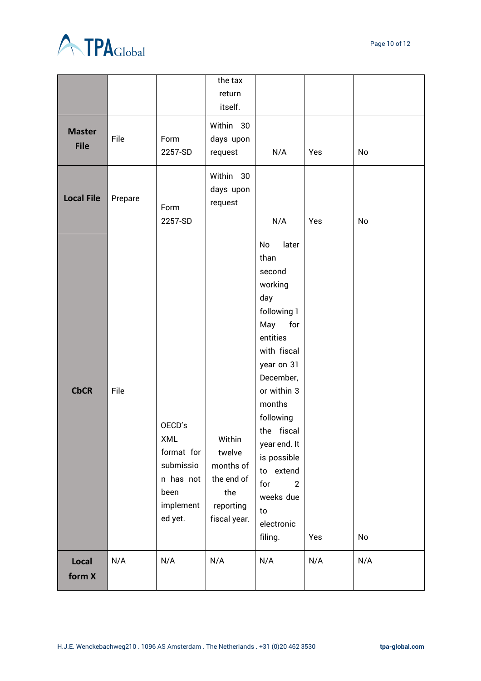

|                              |         |                                                                                       | the tax<br>return                                                               |                                                                                                                                                                                                                                                                                                         |     |     |
|------------------------------|---------|---------------------------------------------------------------------------------------|---------------------------------------------------------------------------------|---------------------------------------------------------------------------------------------------------------------------------------------------------------------------------------------------------------------------------------------------------------------------------------------------------|-----|-----|
|                              |         |                                                                                       | itself.                                                                         |                                                                                                                                                                                                                                                                                                         |     |     |
| <b>Master</b><br><b>File</b> | File    | Form<br>2257-SD                                                                       | Within 30<br>days upon<br>request                                               | N/A                                                                                                                                                                                                                                                                                                     | Yes | No  |
| <b>Local File</b>            | Prepare | Form<br>2257-SD                                                                       | Within 30<br>days upon<br>request                                               | N/A                                                                                                                                                                                                                                                                                                     | Yes | No  |
| <b>CbCR</b>                  | File    | OECD's<br>XML<br>format for<br>submissio<br>n has not<br>been<br>implement<br>ed yet. | Within<br>twelve<br>months of<br>the end of<br>the<br>reporting<br>fiscal year. | later<br>No<br>than<br>second<br>working<br>day<br>following 1<br>May<br>for<br>entities<br>with fiscal<br>year on 31<br>December,<br>or within 3<br>months<br>following<br>the fiscal<br>year end. It<br>is possible<br>to extend<br>for<br>$\overline{2}$<br>weeks due<br>to<br>electronic<br>filing. | Yes | No  |
| Local<br>form X              | N/A     | N/A                                                                                   | N/A                                                                             | N/A                                                                                                                                                                                                                                                                                                     | N/A | N/A |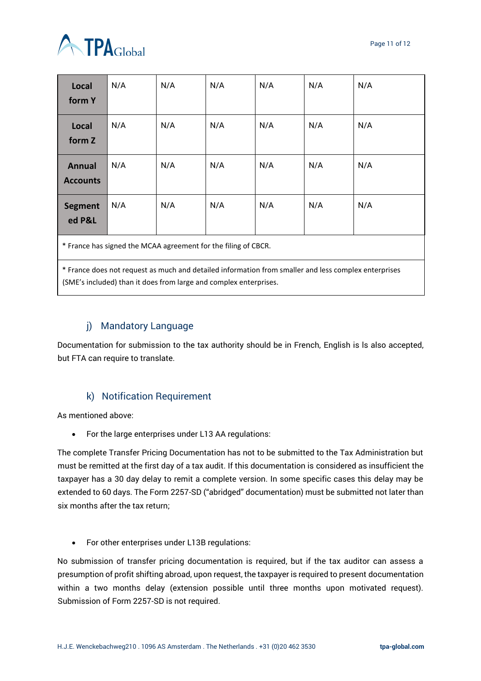

| Local<br>form Y                                                | N/A | N/A | N/A | N/A | N/A | N/A |  |
|----------------------------------------------------------------|-----|-----|-----|-----|-----|-----|--|
| Local<br>form Z                                                | N/A | N/A | N/A | N/A | N/A | N/A |  |
| <b>Annual</b><br><b>Accounts</b>                               | N/A | N/A | N/A | N/A | N/A | N/A |  |
| <b>Segment</b><br>ed P&L                                       | N/A | N/A | N/A | N/A | N/A | N/A |  |
| * France has signed the MCAA agreement for the filing of CBCR. |     |     |     |     |     |     |  |

\* France does not request as much and detailed information from smaller and less complex enterprises (SME's included) than it does from large and complex enterprises.

# j) Mandatory Language

<span id="page-10-0"></span>Documentation for submission to the tax authority should be in French, English is ls also accepted, but FTA can require to translate.

#### k) Notification Requirement

<span id="page-10-1"></span>As mentioned above:

• For the large enterprises under L13 AA regulations:

The complete Transfer Pricing Documentation has not to be submitted to the Tax Administration but must be remitted at the first day of a tax audit. If this documentation is considered as insufficient the taxpayer has a 30 day delay to remit a complete version. In some specific cases this delay may be extended to 60 days. The Form 2257-SD ("abridged" documentation) must be submitted not later than six months after the tax return;

• For other enterprises under L13B regulations:

No submission of transfer pricing documentation is required, but if the tax auditor can assess a presumption of profit shifting abroad, upon request, the taxpayer is required to present documentation within a two months delay (extension possible until three months upon motivated request). Submission of Form 2257-SD is not required.